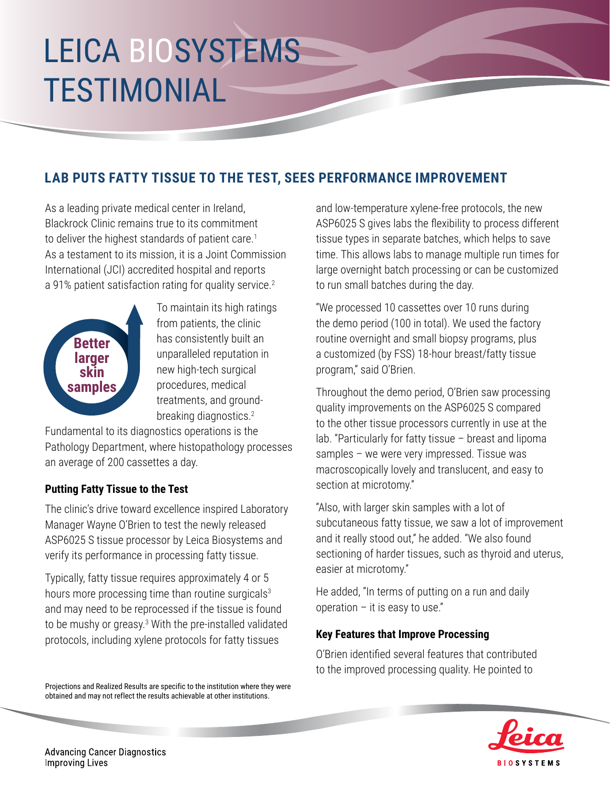# LEICA BIOSYSTEMS TESTIMONIAL

### **LAB PUTS FATTY TISSUE TO THE TEST, SEES PERFORMANCE IMPROVEMENT**

As a leading private medical center in Ireland, Blackrock Clinic remains true to its commitment to deliver the highest standards of patient care.<sup>1</sup> As a testament to its mission, it is a Joint Commission International (JCI) accredited hospital and reports a 91% patient satisfaction rating for quality service.<sup>2</sup>



To maintain its high ratings from patients, the clinic has consistently built an unparalleled reputation in new high-tech surgical procedures, medical treatments, and groundbreaking diagnostics.<sup>2</sup>

Fundamental to its diagnostics operations is the Pathology Department, where histopathology processes an average of 200 cassettes a day.

#### **Putting Fatty Tissue to the Test**

The clinic's drive toward excellence inspired Laboratory Manager Wayne O'Brien to test the newly released ASP6025 S tissue processor by Leica Biosystems and verify its performance in processing fatty tissue.

Typically, fatty tissue requires approximately 4 or 5 hours more processing time than routine surgicals<sup>3</sup> and may need to be reprocessed if the tissue is found to be mushy or greasy.<sup>3</sup> With the pre-installed validated protocols, including xylene protocols for fatty tissues

Projections and Realized Results are specific to the institution where they were obtained and may not reflect the results achievable at other institutions.

and low-temperature xylene-free protocols, the new ASP6025 S gives labs the flexibility to process different tissue types in separate batches, which helps to save time. This allows labs to manage multiple run times for large overnight batch processing or can be customized to run small batches during the day.

"We processed 10 cassettes over 10 runs during the demo period (100 in total). We used the factory routine overnight and small biopsy programs, plus a customized (by FSS) 18-hour breast/fatty tissue program," said O'Brien.

Throughout the demo period, O'Brien saw processing quality improvements on the ASP6025 S compared to the other tissue processors currently in use at the lab. "Particularly for fatty tissue – breast and lipoma samples – we were very impressed. Tissue was macroscopically lovely and translucent, and easy to section at microtomy."

"Also, with larger skin samples with a lot of subcutaneous fatty tissue, we saw a lot of improvement and it really stood out," he added. "We also found sectioning of harder tissues, such as thyroid and uterus, easier at microtomy."

He added, "In terms of putting on a run and daily operation  $-$  it is easy to use."

#### **Key Features that Improve Processing**

O'Brien identified several features that contributed to the improved processing quality. He pointed to